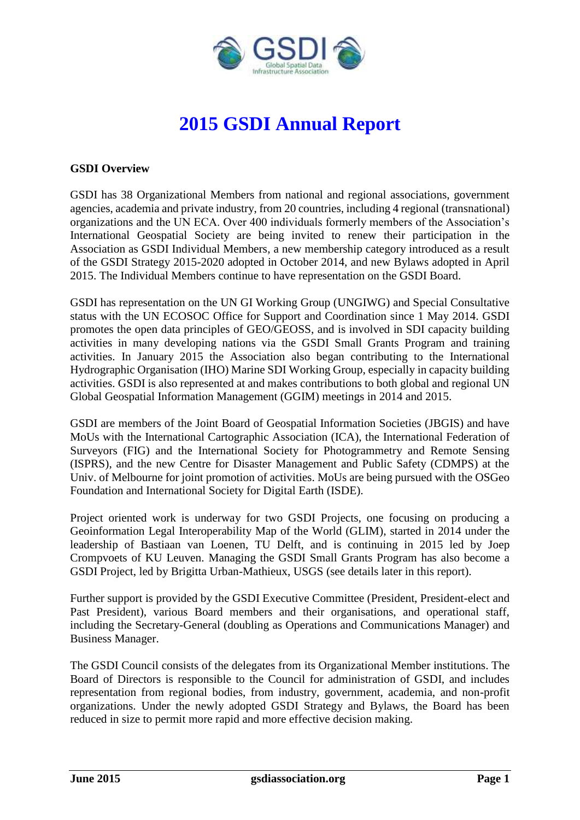

# **2015 GSDI Annual Report**

#### **GSDI Overview**

GSDI has 38 Organizational Members from national and regional associations, government agencies, academia and private industry, from 20 countries, including 4 regional (transnational) organizations and the UN ECA. Over 400 individuals formerly members of the Association's International Geospatial Society are being invited to renew their participation in the Association as GSDI Individual Members, a new membership category introduced as a result of the GSDI Strategy 2015-2020 adopted in October 2014, and new Bylaws adopted in April 2015. The Individual Members continue to have representation on the GSDI Board.

GSDI has representation on the UN GI Working Group (UNGIWG) and Special Consultative status with the UN ECOSOC Office for Support and Coordination since 1 May 2014. GSDI promotes the open data principles of GEO/GEOSS, and is involved in SDI capacity building activities in many developing nations via the GSDI Small Grants Program and training activities. In January 2015 the Association also began contributing to the International Hydrographic Organisation (IHO) Marine SDI Working Group, especially in capacity building activities. GSDI is also represented at and makes contributions to both global and regional UN Global Geospatial Information Management (GGIM) meetings in 2014 and 2015.

GSDI are members of the Joint Board of Geospatial Information Societies (JBGIS) and have MoUs with the International Cartographic Association (ICA), the International Federation of Surveyors (FIG) and the International Society for Photogrammetry and Remote Sensing (ISPRS), and the new Centre for Disaster Management and Public Safety (CDMPS) at the Univ. of Melbourne for joint promotion of activities. MoUs are being pursued with the OSGeo Foundation and International Society for Digital Earth (ISDE).

Project oriented work is underway for two GSDI Projects, one focusing on producing a Geoinformation Legal Interoperability Map of the World (GLIM), started in 2014 under the leadership of Bastiaan van Loenen, TU Delft, and is continuing in 2015 led by Joep Crompvoets of KU Leuven. Managing the GSDI Small Grants Program has also become a GSDI Project, led by Brigitta Urban-Mathieux, USGS (see details later in this report).

Further support is provided by the GSDI Executive Committee (President, President-elect and Past President), various Board members and their organisations, and operational staff, including the Secretary-General (doubling as Operations and Communications Manager) and Business Manager.

The GSDI Council consists of the delegates from its Organizational Member institutions. The Board of Directors is responsible to the Council for administration of GSDI, and includes representation from regional bodies, from industry, government, academia, and non-profit organizations. Under the newly adopted GSDI Strategy and Bylaws, the Board has been reduced in size to permit more rapid and more effective decision making.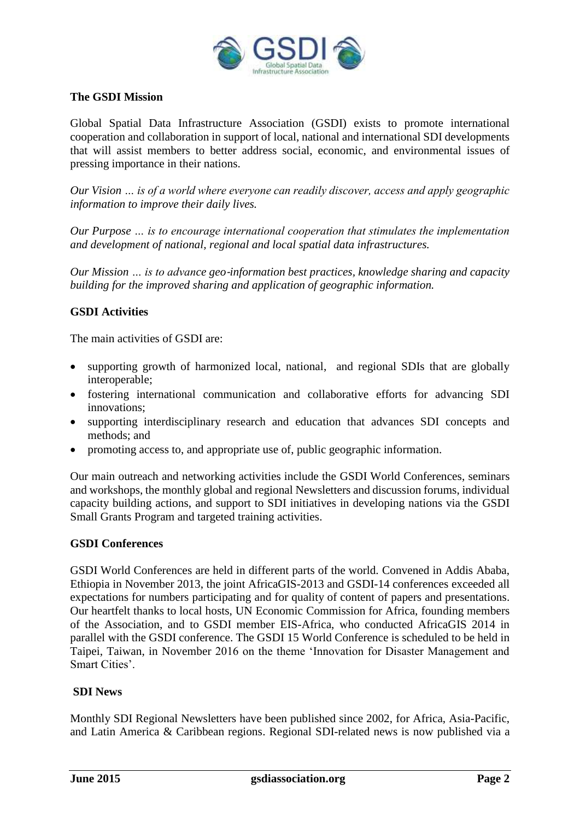

## **The GSDI Mission**

Global Spatial Data Infrastructure Association [\(GSDI\)](http://gsdi.org/) exists to promote international cooperation and collaboration in support of local, national and international SDI developments that will assist members to better address social, economic, and environmental issues of pressing importance in their nations.

*Our Vision … is of a world where everyone can readily discover, access and apply geographic information to improve their daily lives.*

*Our Purpose … is to encourage international cooperation that stimulates the implementation and development of national, regional and local spatial data infrastructures.*

*Our Mission … is to advance geo*‐*information best practices, knowledge sharing and capacity building for the improved sharing and application of geographic information.*

#### **GSDI Activities**

The main activities of GSDI are:

- supporting growth of harmonized local, national, and regional SDIs that are globally interoperable;
- fostering international communication and collaborative efforts for advancing SDI innovations;
- supporting interdisciplinary research and education that advances SDI concepts and methods; and
- promoting access to, and appropriate use of, public geographic information.

Our main outreach and networking activities include the GSDI World Conferences, seminars and workshops, the monthly global and regional Newsletters and discussion forums, individual capacity building actions, and support to SDI initiatives in developing nations via the GSDI Small Grants Program and targeted training activities.

#### **GSDI Conferences**

GSDI World Conferences are held in different parts of the world. Convened in Addis Ababa, Ethiopia in November 2013, the joint [AfricaGIS-2013 and GSDI-14 conferences](http://www.gsdi.org/gsdiconf/gsdi14/prog_details.html) exceeded all expectations for numbers participating and for quality of content of papers and presentations. Our heartfelt thanks to local hosts, UN Economic Commission for Africa, founding members of the Association, and to GSDI member EIS-Africa, who conducted AfricaGIS 2014 in parallel with the GSDI conference. The GSDI 15 World Conference is scheduled to be held in Taipei, Taiwan, in November 2016 on the theme 'Innovation for Disaster Management and Smart Cities'.

#### **SDI News**

Monthly SDI Regional Newsletters have been published since 2002, for Africa, Asia-Pacific, and Latin America & Caribbean regions. Regional SDI-related news is now published via a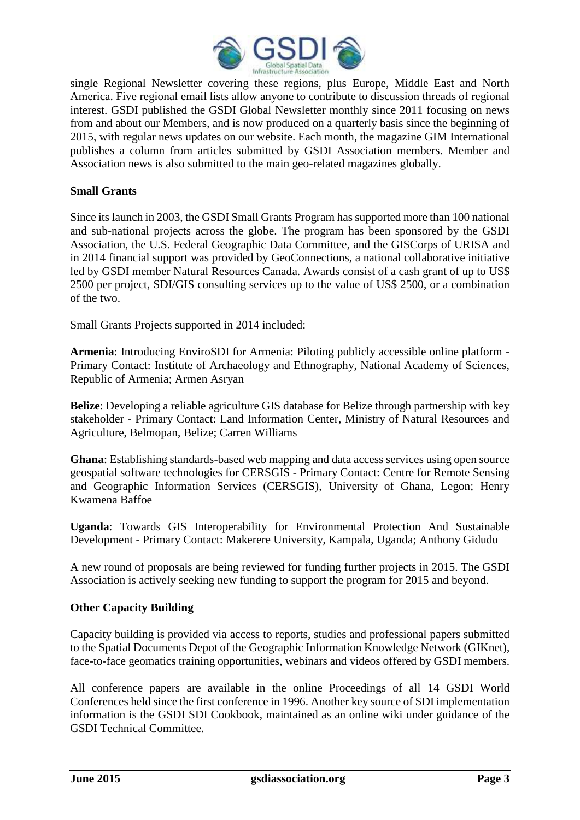

single Regional Newsletter covering these regions, plus Europe, Middle East and North America. Five regional email lists allow anyone to contribute to discussion threads of regional interest. GSDI published the GSDI Global Newsletter monthly since 2011 focusing on news from and about our Members, and is now produced on a quarterly basis since the beginning of 2015, with regular news updates on our website. Each month, the magazine [GIM International](http://www.gim-international.com/) publishes a column from articles submitted by GSDI Association members. Member and Association news is also submitted to the main geo-related magazines globally.

## **Small Grants**

Since its launch in 2003, the [GSDI Small Grants Program](http://www.gsdi.org/sic1) has supported more than 100 national and sub-national projects across the globe. The program has been sponsored by the GSDI Association, the U.S. Federal Geographic Data Committee, and the GISCorps of URISA and in 2014 financial support was provided by [GeoConnections,](http://www.geoconnections.nrcan.gc.ca/) a national collaborative initiative led by GSDI member Natural Resources Canada. Awards consist of a cash grant of up to US\$ 2500 per project, SDI/GIS consulting services up to the value of US\$ 2500, or a combination of the two.

Small Grants Projects supported in 2014 included:

**Armenia**: Introducing EnviroSDI for Armenia: Piloting publicly accessible online platform - Primary Contact: Institute of Archaeology and Ethnography, National Academy of Sciences, Republic of Armenia; Armen Asryan

**Belize**: Developing a reliable agriculture GIS database for Belize through partnership with key stakeholder - Primary Contact: Land Information Center, Ministry of Natural Resources and Agriculture, Belmopan, Belize; Carren Williams

**Ghana**: Establishing standards-based web mapping and data access services using open source geospatial software technologies for CERSGIS - Primary Contact: Centre for Remote Sensing and Geographic Information Services (CERSGIS), University of Ghana, Legon; Henry Kwamena Baffoe

**Uganda**: Towards GIS Interoperability for Environmental Protection And Sustainable Development - Primary Contact: Makerere University, Kampala, Uganda; Anthony Gidudu

A new round of proposals are being reviewed for funding further projects in 2015. The GSDI Association is actively seeking new funding to support the program for 2015 and beyond.

#### **Other Capacity Building**

Capacity building is provided via access to reports, studies and professional papers submitted to the Spatial Documents Depot of the Geographic Information Knowledge Network [\(GIKnet\)](http://www.giknet.org/), face-to-face geomatics training opportunities, [webinars](http://www.gsdi.org/webinars) and [videos](http://www.gsdi.org/sic3) offered by GSDI members.

All conference papers are available in the online Proceedings of all 14 [GSDI World](http://www.gsdi.org/gsdiConferences)  [Conferences](http://www.gsdi.org/gsdiConferences) held since the first conference in 1996. Another key source of SDI implementation information is the [GSDI SDI Cookbook,](http://www.gsdidocs.org/GSDIWiki/index.php/Main_Page) maintained as an online wiki under guidance of the GSDI Technical Committee.